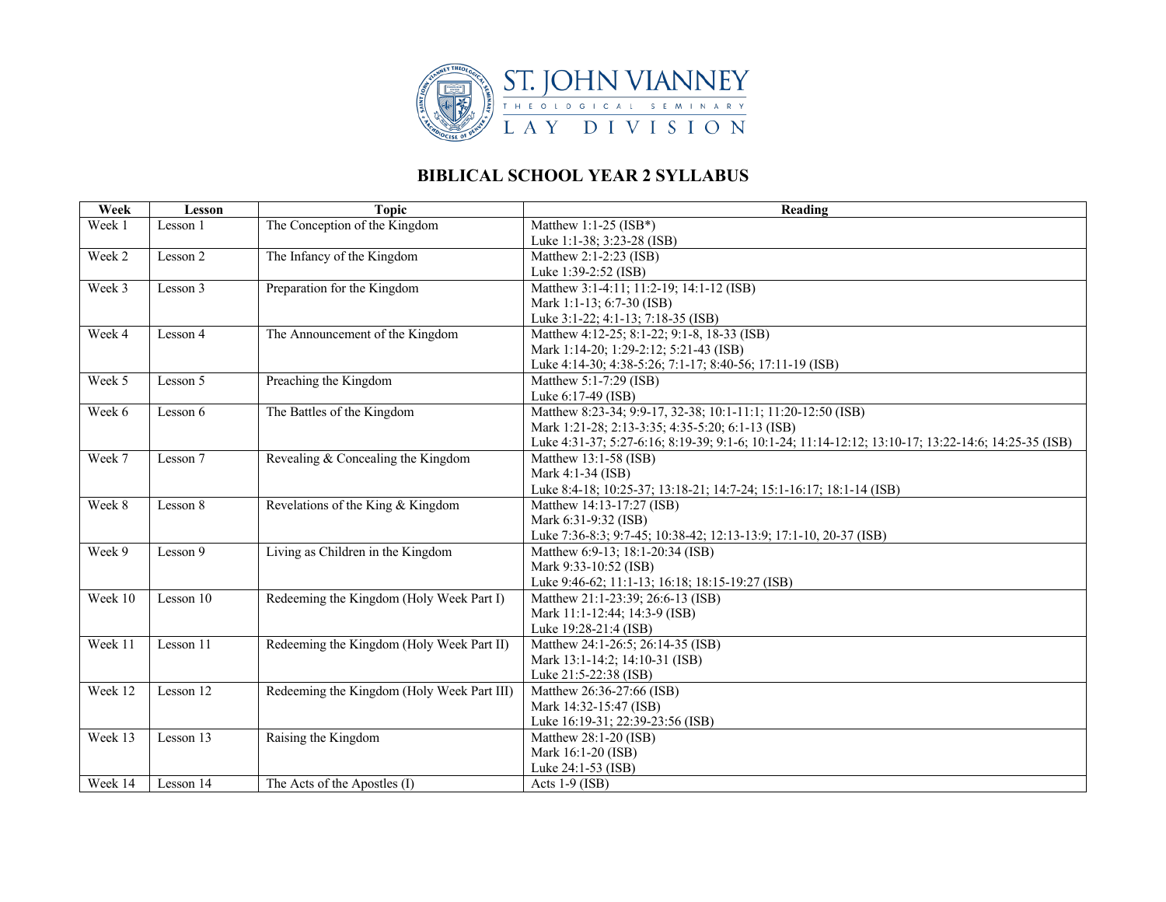

## **BIBLICAL SCHOOL YEAR 2 SYLLABUS**

| Week    | <b>Lesson</b> | <b>Topic</b>                               | Reading                                                                                             |
|---------|---------------|--------------------------------------------|-----------------------------------------------------------------------------------------------------|
| Week 1  | Lesson 1      | The Conception of the Kingdom              | Matthew 1:1-25 $(ISBN*)$                                                                            |
|         |               |                                            | Luke 1:1-38; 3:23-28 (ISB)                                                                          |
| Week 2  | Lesson 2      | The Infancy of the Kingdom                 | Matthew 2:1-2:23 (ISB)                                                                              |
|         |               |                                            | Luke 1:39-2:52 (ISB)                                                                                |
| Week 3  | Lesson 3      | Preparation for the Kingdom                | Matthew 3:1-4:11; 11:2-19; 14:1-12 (ISB)                                                            |
|         |               |                                            | Mark 1:1-13; 6:7-30 (ISB)                                                                           |
|         |               |                                            | Luke 3:1-22; 4:1-13; 7:18-35 (ISB)                                                                  |
| Week 4  | Lesson 4      | The Announcement of the Kingdom            | Matthew 4:12-25; 8:1-22; 9:1-8, 18-33 (ISB)                                                         |
|         |               |                                            | Mark 1:14-20; 1:29-2:12; 5:21-43 (ISB)                                                              |
|         |               |                                            | Luke 4:14-30; 4:38-5:26; 7:1-17; 8:40-56; 17:11-19 (ISB)                                            |
| Week 5  | Lesson 5      | Preaching the Kingdom                      | Matthew 5:1-7:29 (ISB)                                                                              |
|         |               |                                            | Luke 6:17-49 (ISB)                                                                                  |
| Week 6  | Lesson 6      | The Battles of the Kingdom                 | Matthew 8:23-34; 9:9-17, 32-38; 10:1-11:1; 11:20-12:50 (ISB)                                        |
|         |               |                                            | Mark 1:21-28; 2:13-3:35; 4:35-5:20; 6:1-13 (ISB)                                                    |
|         |               |                                            | Luke 4:31-37; 5:27-6:16; 8:19-39; 9:1-6; 10:1-24; 11:14-12:12; 13:10-17; 13:22-14:6; 14:25-35 (ISB) |
| Week 7  | Lesson 7      | Revealing & Concealing the Kingdom         | Matthew 13:1-58 (ISB)                                                                               |
|         |               |                                            | Mark 4:1-34 (ISB)                                                                                   |
|         |               |                                            | Luke 8:4-18; 10:25-37; 13:18-21; 14:7-24; 15:1-16:17; 18:1-14 (ISB)                                 |
| Week 8  | Lesson 8      | Revelations of the King & Kingdom          | Matthew 14:13-17:27 (ISB)                                                                           |
|         |               |                                            | Mark 6:31-9:32 (ISB)                                                                                |
|         |               |                                            | Luke 7:36-8:3; 9:7-45; 10:38-42; 12:13-13:9; 17:1-10, 20-37 (ISB)                                   |
| Week 9  | Lesson 9      | Living as Children in the Kingdom          | Matthew 6:9-13; 18:1-20:34 (ISB)<br>Mark 9:33-10:52 (ISB)                                           |
|         |               |                                            | Luke 9:46-62; 11:1-13; 16:18; 18:15-19:27 (ISB)                                                     |
| Week 10 | Lesson 10     | Redeeming the Kingdom (Holy Week Part I)   | Matthew 21:1-23:39; 26:6-13 (ISB)                                                                   |
|         |               |                                            | Mark 11:1-12:44; 14:3-9 (ISB)                                                                       |
|         |               |                                            | Luke 19:28-21:4 (ISB)                                                                               |
| Week 11 | Lesson 11     | Redeeming the Kingdom (Holy Week Part II)  | Matthew 24:1-26:5; 26:14-35 (ISB)                                                                   |
|         |               |                                            | Mark 13:1-14:2; 14:10-31 (ISB)                                                                      |
|         |               |                                            | Luke 21:5-22:38 (ISB)                                                                               |
| Week 12 | Lesson 12     | Redeeming the Kingdom (Holy Week Part III) | Matthew 26:36-27:66 (ISB)                                                                           |
|         |               |                                            | Mark 14:32-15:47 (ISB)                                                                              |
|         |               |                                            | Luke 16:19-31; 22:39-23:56 (ISB)                                                                    |
| Week 13 | Lesson 13     | Raising the Kingdom                        | Matthew 28:1-20 (ISB)                                                                               |
|         |               |                                            | Mark 16:1-20 (ISB)                                                                                  |
|         |               |                                            | Luke 24:1-53 (ISB)                                                                                  |
| Week 14 | Lesson 14     | The Acts of the Apostles (I)               | Acts $1-9$ (ISB)                                                                                    |